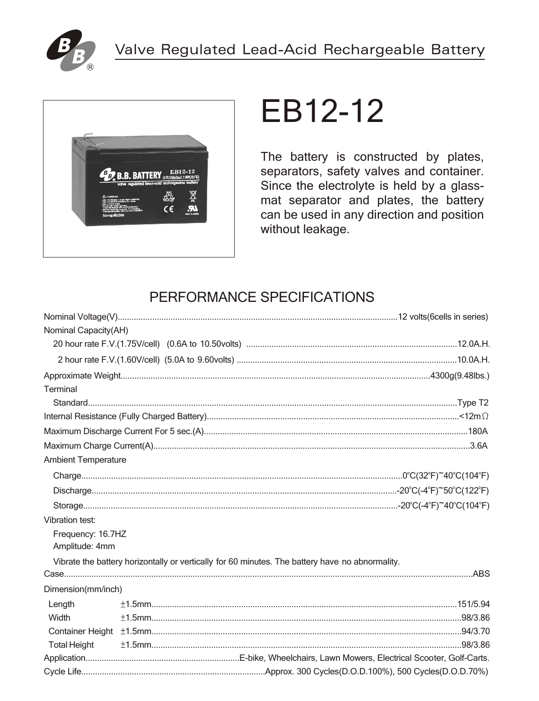



# EB12-12

The battery is constructed by plates, separators, safety valves and container. Since the electrolyte is held by a glassmat separator and plates, the battery can be used in any direction and position without leakage.

# PERFORMANCE SPECIFICATIONS

| Nominal Capacity(AH)       |                                                                                                 |
|----------------------------|-------------------------------------------------------------------------------------------------|
|                            |                                                                                                 |
|                            |                                                                                                 |
|                            |                                                                                                 |
| Terminal                   |                                                                                                 |
|                            |                                                                                                 |
|                            |                                                                                                 |
|                            |                                                                                                 |
|                            |                                                                                                 |
| <b>Ambient Temperature</b> |                                                                                                 |
|                            |                                                                                                 |
|                            |                                                                                                 |
|                            |                                                                                                 |
| Vibration test:            |                                                                                                 |
| Frequency: 16.7HZ          |                                                                                                 |
| Amplitude: 4mm             |                                                                                                 |
|                            | Vibrate the battery horizontally or vertically for 60 minutes. The battery have no abnormality. |
|                            |                                                                                                 |
| Dimension(mm/inch)         |                                                                                                 |
| Length                     |                                                                                                 |
| Width                      |                                                                                                 |
|                            |                                                                                                 |
| <b>Total Height</b>        |                                                                                                 |
|                            |                                                                                                 |
|                            |                                                                                                 |
|                            |                                                                                                 |